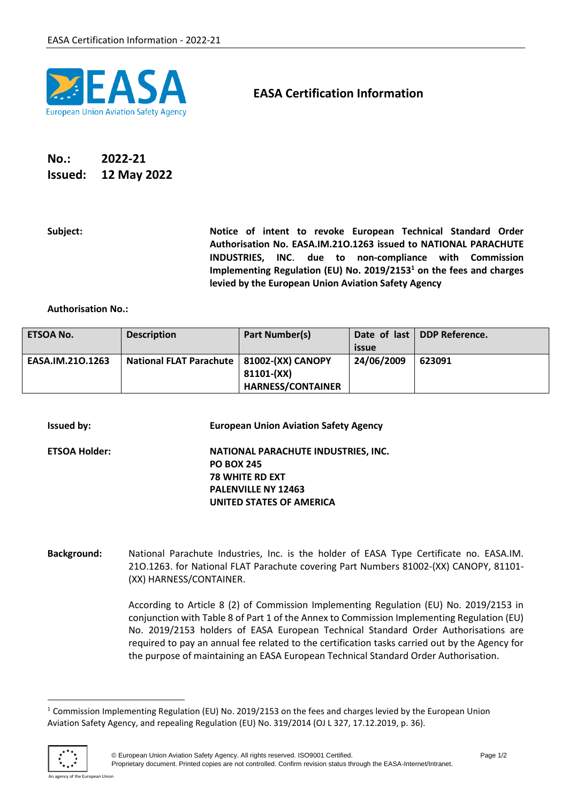

## **EASA Certification Information**

## **No.: 2022-21 Issued: 12 May 2022**

**Subject: Notice of intent to revoke European Technical Standard Order Authorisation No. EASA.IM.21O.1263 issued to NATIONAL PARACHUTE INDUSTRIES, INC**. **due to non-compliance with Commission Implementing Regulation (EU) No. 2019/2153<sup>1</sup> on the fees and charges levied by the European Union Aviation Safety Agency**

## **Authorisation No.:**

| <b>ETSOA No.</b> | <b>Description</b>                          | Part Number(s)           | issue      | Date of last   DDP Reference. |
|------------------|---------------------------------------------|--------------------------|------------|-------------------------------|
| EASA.IM.210.1263 | National FLAT Parachute   81002-(XX) CANOPY |                          | 24/06/2009 | 623091                        |
|                  |                                             | 81101-(XX)               |            |                               |
|                  |                                             | <b>HARNESS/CONTAINER</b> |            |                               |

| <b>Issued by:</b>    | <b>European Union Aviation Safety Agency</b>                                                                                                 |
|----------------------|----------------------------------------------------------------------------------------------------------------------------------------------|
| <b>ETSOA Holder:</b> | NATIONAL PARACHUTE INDUSTRIES, INC.<br><b>PO BOX 245</b><br><b>78 WHITE RD EXT</b><br><b>PALENVILLE NY 12463</b><br>UNITED STATES OF AMERICA |
|                      |                                                                                                                                              |

**Background:** National Parachute Industries, Inc. is the holder of EASA Type Certificate no. EASA.IM. 21O.1263. for National FLAT Parachute covering Part Numbers 81002-(XX) CANOPY, 81101- (XX) HARNESS/CONTAINER.

> According to Article 8 (2) of Commission Implementing Regulation (EU) No. 2019/2153 in conjunction with Table 8 of Part 1 of the Annex to Commission Implementing Regulation (EU) No. 2019/2153 holders of EASA European Technical Standard Order Authorisations are required to pay an annual fee related to the certification tasks carried out by the Agency for the purpose of maintaining an EASA European Technical Standard Order Authorisation.

<sup>&</sup>lt;sup>1</sup> Commission Implementing Regulation (EU) No. 2019/2153 on the fees and charges levied by the European Union Aviation Safety Agency, and repealing Regulation (EU) No. 319/2014 (OJ L 327, 17.12.2019, p. 36).